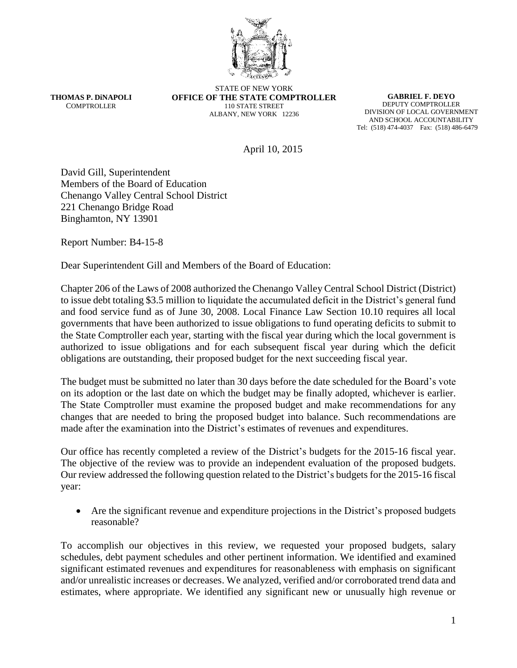

**THOMAS P. DiNAPOLI COMPTROLLER** 

STATE OF NEW YORK **OFFICE OF THE STATE COMPTROLLER** 110 STATE STREET ALBANY, NEW YORK 12236

**GABRIEL F. DEYO** DEPUTY COMPTROLLER DIVISION OF LOCAL GOVERNMENT AND SCHOOL ACCOUNTABILITY Tel: (518) 474-4037 Fax: (518) 486-6479

April 10, 2015

David Gill, Superintendent Members of the Board of Education Chenango Valley Central School District 221 Chenango Bridge Road Binghamton, NY 13901

Report Number: B4-15-8

Dear Superintendent Gill and Members of the Board of Education:

Chapter 206 of the Laws of 2008 authorized the Chenango Valley Central School District (District) to issue debt totaling \$3.5 million to liquidate the accumulated deficit in the District's general fund and food service fund as of June 30, 2008. Local Finance Law Section 10.10 requires all local governments that have been authorized to issue obligations to fund operating deficits to submit to the State Comptroller each year, starting with the fiscal year during which the local government is authorized to issue obligations and for each subsequent fiscal year during which the deficit obligations are outstanding, their proposed budget for the next succeeding fiscal year.

The budget must be submitted no later than 30 days before the date scheduled for the Board's vote on its adoption or the last date on which the budget may be finally adopted, whichever is earlier. The State Comptroller must examine the proposed budget and make recommendations for any changes that are needed to bring the proposed budget into balance. Such recommendations are made after the examination into the District's estimates of revenues and expenditures.

Our office has recently completed a review of the District's budgets for the 2015-16 fiscal year. The objective of the review was to provide an independent evaluation of the proposed budgets. Our review addressed the following question related to the District's budgets for the 2015-16 fiscal year:

 Are the significant revenue and expenditure projections in the District's proposed budgets reasonable?

To accomplish our objectives in this review, we requested your proposed budgets, salary schedules, debt payment schedules and other pertinent information. We identified and examined significant estimated revenues and expenditures for reasonableness with emphasis on significant and/or unrealistic increases or decreases. We analyzed, verified and/or corroborated trend data and estimates, where appropriate. We identified any significant new or unusually high revenue or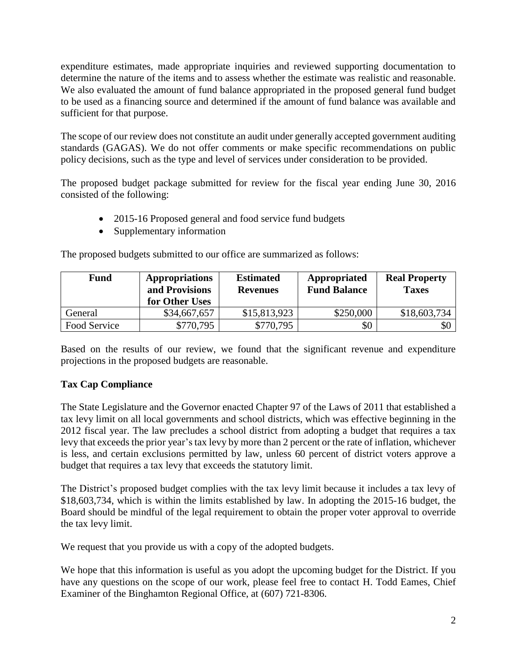expenditure estimates, made appropriate inquiries and reviewed supporting documentation to determine the nature of the items and to assess whether the estimate was realistic and reasonable. We also evaluated the amount of fund balance appropriated in the proposed general fund budget to be used as a financing source and determined if the amount of fund balance was available and sufficient for that purpose.

The scope of our review does not constitute an audit under generally accepted government auditing standards (GAGAS). We do not offer comments or make specific recommendations on public policy decisions, such as the type and level of services under consideration to be provided.

The proposed budget package submitted for review for the fiscal year ending June 30, 2016 consisted of the following:

- 2015-16 Proposed general and food service fund budgets
- Supplementary information

The proposed budgets submitted to our office are summarized as follows:

| <b>Fund</b>  | <b>Appropriations</b><br>and Provisions<br>for Other Uses | <b>Estimated</b><br><b>Revenues</b> | Appropriated<br><b>Fund Balance</b> | <b>Real Property</b><br><b>Taxes</b> |
|--------------|-----------------------------------------------------------|-------------------------------------|-------------------------------------|--------------------------------------|
| General      | \$34,667,657                                              | \$15,813,923                        | \$250,000                           | \$18,603,734                         |
| Food Service | \$770,795                                                 | \$770,795                           | \$0                                 | \$0                                  |

Based on the results of our review, we found that the significant revenue and expenditure projections in the proposed budgets are reasonable.

## **Tax Cap Compliance**

The State Legislature and the Governor enacted Chapter 97 of the Laws of 2011 that established a tax levy limit on all local governments and school districts, which was effective beginning in the 2012 fiscal year. The law precludes a school district from adopting a budget that requires a tax levy that exceeds the prior year's tax levy by more than 2 percent or the rate of inflation, whichever is less, and certain exclusions permitted by law, unless 60 percent of district voters approve a budget that requires a tax levy that exceeds the statutory limit.

The District's proposed budget complies with the tax levy limit because it includes a tax levy of \$18,603,734, which is within the limits established by law. In adopting the 2015-16 budget, the Board should be mindful of the legal requirement to obtain the proper voter approval to override the tax levy limit.

We request that you provide us with a copy of the adopted budgets.

We hope that this information is useful as you adopt the upcoming budget for the District. If you have any questions on the scope of our work, please feel free to contact H. Todd Eames, Chief Examiner of the Binghamton Regional Office, at (607) 721-8306.